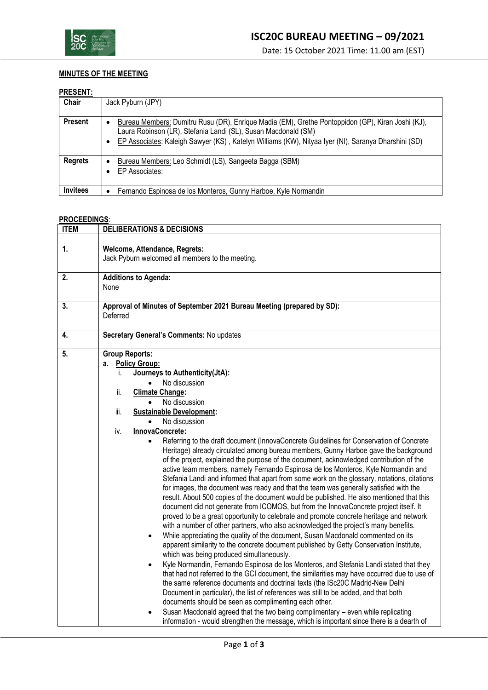

## **MINUTES OF THE MEETING**

## **PRESENT:**

| .               |                                                                                                                                                                                                                                                                                      |  |  |
|-----------------|--------------------------------------------------------------------------------------------------------------------------------------------------------------------------------------------------------------------------------------------------------------------------------------|--|--|
| Chair           | Jack Pyburn (JPY)                                                                                                                                                                                                                                                                    |  |  |
| <b>Present</b>  | Bureau Members: Dumitru Rusu (DR), Enrique Madia (EM), Grethe Pontoppidon (GP), Kiran Joshi (KJ),<br>٠<br>Laura Robinson (LR), Stefania Landi (SL), Susan Macdonald (SM)<br>EP Associates: Kaleigh Sawyer (KS), Katelyn Williams (KW), Nityaa Iyer (NI), Saranya Dharshini (SD)<br>٠ |  |  |
| <b>Regrets</b>  | Bureau Members: Leo Schmidt (LS), Sangeeta Bagga (SBM)<br>٠<br>EP Associates:<br>٠                                                                                                                                                                                                   |  |  |
| <b>Invitees</b> | Fernando Espinosa de los Monteros, Gunny Harboe, Kyle Normandin<br>٠                                                                                                                                                                                                                 |  |  |

## **PROCEEDINGS**:

| <b>ITEM</b> | <b>DELIBERATIONS &amp; DECISIONS</b>                                                          |
|-------------|-----------------------------------------------------------------------------------------------|
|             |                                                                                               |
| 1.          | Welcome, Attendance, Regrets:                                                                 |
|             | Jack Pyburn welcomed all members to the meeting.                                              |
| 2.          | <b>Additions to Agenda:</b>                                                                   |
|             | None                                                                                          |
| 3.          | Approval of Minutes of September 2021 Bureau Meeting (prepared by SD):                        |
|             | Deferred                                                                                      |
| 4.          | Secretary General's Comments: No updates                                                      |
|             |                                                                                               |
| 5.          | <b>Group Reports:</b>                                                                         |
|             | a. Policy Group:                                                                              |
|             | Journeys to Authenticity(JtA):<br>i.                                                          |
|             | No discussion<br>$\bullet$<br><b>Climate Change:</b>                                          |
|             | ii.<br>No discussion<br>$\bullet$                                                             |
|             | iii.<br><b>Sustainable Development:</b>                                                       |
|             | No discussion<br>$\bullet$                                                                    |
|             | iv.<br>InnovaConcrete:                                                                        |
|             | Referring to the draft document (InnovaConcrete Guidelines for Conservation of Concrete       |
|             | Heritage) already circulated among bureau members, Gunny Harboe gave the background           |
|             | of the project, explained the purpose of the document, acknowledged contribution of the       |
|             | active team members, namely Fernando Espinosa de los Monteros, Kyle Normandin and             |
|             | Stefania Landi and informed that apart from some work on the glossary, notations, citations   |
|             | for images, the document was ready and that the team was generally satisfied with the         |
|             | result. About 500 copies of the document would be published. He also mentioned that this      |
|             | document did not generate from ICOMOS, but from the InnovaConcrete project itself. It         |
|             | proved to be a great opportunity to celebrate and promote concrete heritage and network       |
|             | with a number of other partners, who also acknowledged the project's many benefits.           |
|             | While appreciating the quality of the document, Susan Macdonald commented on its<br>$\bullet$ |
|             | apparent similarity to the concrete document published by Getty Conservation Institute,       |
|             | which was being produced simultaneously.                                                      |
|             | Kyle Normandin, Fernando Espinosa de los Monteros, and Stefania Landi stated that they        |
|             | that had not referred to the GCI document, the similarities may have occurred due to use of   |
|             | the same reference documents and doctrinal texts (the ISc20C Madrid-New Delhi                 |
|             | Document in particular), the list of references was still to be added, and that both          |
|             | documents should be seen as complimenting each other.                                         |
|             | Susan Macdonald agreed that the two being complimentary - even while replicating              |
|             | information - would strengthen the message, which is important since there is a dearth of     |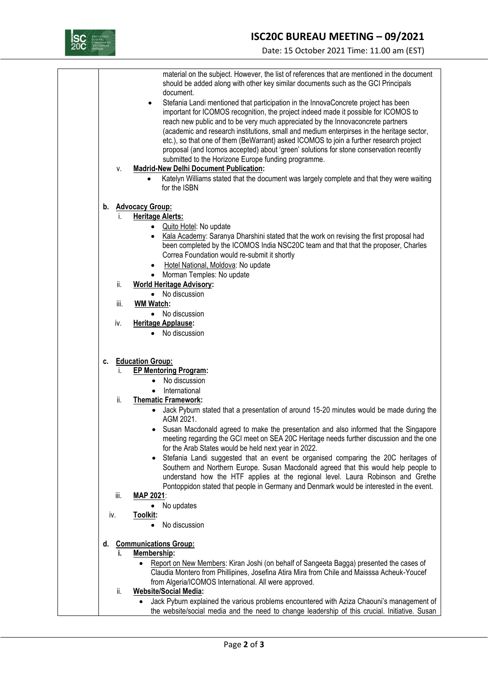

Date: 15 October 2021 Time: 11.00 am (EST)

|      | material on the subject. However, the list of references that are mentioned in the document<br>should be added along with other key similar documents such as the GCI Principals<br>document.                                                                                                                                                                                                                                                            |
|------|----------------------------------------------------------------------------------------------------------------------------------------------------------------------------------------------------------------------------------------------------------------------------------------------------------------------------------------------------------------------------------------------------------------------------------------------------------|
|      | Stefania Landi mentioned that participation in the InnovaConcrete project has been<br>٠<br>important for ICOMOS recognition, the project indeed made it possible for ICOMOS to<br>reach new public and to be very much appreciated by the Innovaconcrete partners<br>(academic and research institutions, small and medium enterpirses in the heritage sector,<br>etc.), so that one of them (BeWarrant) asked ICOMOS to join a further research project |
|      | proposal (and Icomos accepted) about 'green' solutions for stone conservation recently<br>submitted to the Horizone Europe funding programme.                                                                                                                                                                                                                                                                                                            |
| v.   | <b>Madrid-New Delhi Document Publication:</b>                                                                                                                                                                                                                                                                                                                                                                                                            |
|      | Katelyn Williams stated that the document was largely complete and that they were waiting<br>for the ISBN                                                                                                                                                                                                                                                                                                                                                |
| b.   | <b>Advocacy Group:</b>                                                                                                                                                                                                                                                                                                                                                                                                                                   |
| Ť.   | <b>Heritage Alerts:</b>                                                                                                                                                                                                                                                                                                                                                                                                                                  |
|      | Quito Hotel: No update<br>$\bullet$<br>Kala Academy: Saranya Dharshini stated that the work on revising the first proposal had<br>$\bullet$                                                                                                                                                                                                                                                                                                              |
|      | been completed by the ICOMOS India NSC20C team and that that the proposer, Charles<br>Correa Foundation would re-submit it shortly                                                                                                                                                                                                                                                                                                                       |
|      | Hotel National, Moldova: No update<br>٠                                                                                                                                                                                                                                                                                                                                                                                                                  |
|      | Morman Temples: No update<br>$\bullet$                                                                                                                                                                                                                                                                                                                                                                                                                   |
| ii.  | <b>World Heritage Advisory:</b>                                                                                                                                                                                                                                                                                                                                                                                                                          |
| iii. | No discussion<br>$\bullet$<br><b>WM Watch:</b>                                                                                                                                                                                                                                                                                                                                                                                                           |
|      | No discussion<br>$\bullet$                                                                                                                                                                                                                                                                                                                                                                                                                               |
| iv.  | Heritage Applause:                                                                                                                                                                                                                                                                                                                                                                                                                                       |
|      | No discussion<br>$\bullet$                                                                                                                                                                                                                                                                                                                                                                                                                               |
|      |                                                                                                                                                                                                                                                                                                                                                                                                                                                          |
| с.   | <b>Education Group:</b>                                                                                                                                                                                                                                                                                                                                                                                                                                  |
| İ.   | <b>EP Mentoring Program:</b><br>No discussion                                                                                                                                                                                                                                                                                                                                                                                                            |
|      | $\bullet$<br>International                                                                                                                                                                                                                                                                                                                                                                                                                               |
| ii.  | <b>Thematic Framework:</b>                                                                                                                                                                                                                                                                                                                                                                                                                               |
|      | Jack Pyburn stated that a presentation of around 15-20 minutes would be made during the<br>AGM 2021.                                                                                                                                                                                                                                                                                                                                                     |
|      | Susan Macdonald agreed to make the presentation and also informed that the Singapore<br>meeting regarding the GCI meet on SEA 20C Heritage needs further discussion and the one                                                                                                                                                                                                                                                                          |
|      | for the Arab States would be held next year in 2022.                                                                                                                                                                                                                                                                                                                                                                                                     |
|      | Stefania Landi suggested that an event be organised comparing the 20C heritages of<br>Southern and Northern Europe. Susan Macdonald agreed that this would help people to<br>understand how the HTF applies at the regional level. Laura Robinson and Grethe                                                                                                                                                                                             |
|      | Pontoppidon stated that people in Germany and Denmark would be interested in the event.                                                                                                                                                                                                                                                                                                                                                                  |
| iii. | <b>MAP 2021:</b>                                                                                                                                                                                                                                                                                                                                                                                                                                         |
|      | No updates                                                                                                                                                                                                                                                                                                                                                                                                                                               |
| iv.  | Toolkit:<br>No discussion<br>$\bullet$                                                                                                                                                                                                                                                                                                                                                                                                                   |
|      |                                                                                                                                                                                                                                                                                                                                                                                                                                                          |
| d.   | <b>Communications Group:</b>                                                                                                                                                                                                                                                                                                                                                                                                                             |
| ı.   | Membership:                                                                                                                                                                                                                                                                                                                                                                                                                                              |
|      | Report on New Members: Kiran Joshi (on behalf of Sangeeta Bagga) presented the cases of<br>Claudia Montero from Phillipines, Josefina Atira Mira from Chile and Maisssa Acheuk-Youcef                                                                                                                                                                                                                                                                    |
|      | from Algeria/ICOMOS International. All were approved.                                                                                                                                                                                                                                                                                                                                                                                                    |
| ii.  | <b>Website/Social Media:</b>                                                                                                                                                                                                                                                                                                                                                                                                                             |
|      | Jack Pyburn explained the various problems encountered with Aziza Chaouni's management of<br>the website/social media and the need to change leadership of this crucial. Initiative. Susan                                                                                                                                                                                                                                                               |